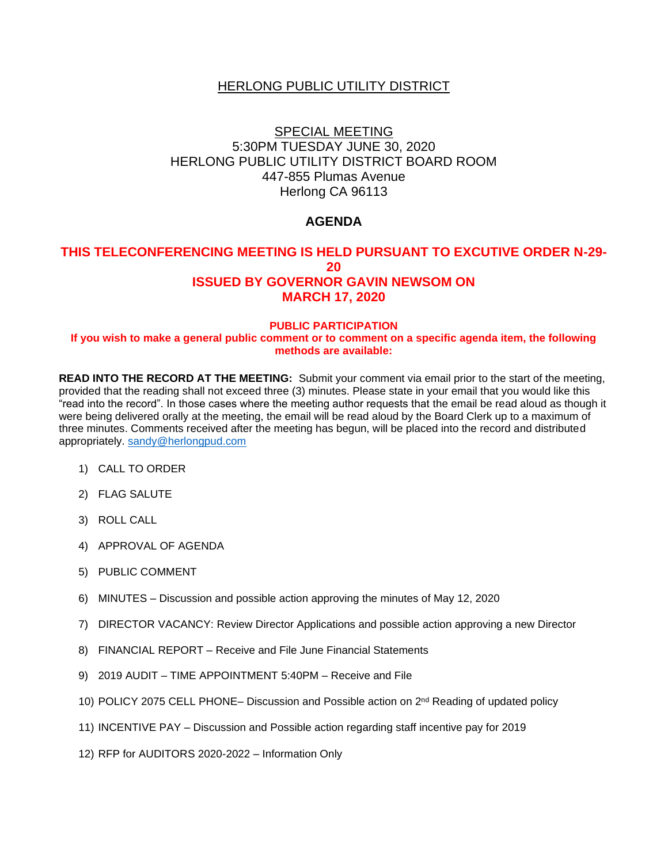# HERLONG PUBLIC UTILITY DISTRICT

# SPECIAL MEETING 5:30PM TUESDAY JUNE 30, 2020 HERLONG PUBLIC UTILITY DISTRICT BOARD ROOM 447-855 Plumas Avenue Herlong CA 96113

# **AGENDA**

# **THIS TELECONFERENCING MEETING IS HELD PURSUANT TO EXCUTIVE ORDER N-29- 20 ISSUED BY GOVERNOR GAVIN NEWSOM ON MARCH 17, 2020**

#### **PUBLIC PARTICIPATION If you wish to make a general public comment or to comment on a specific agenda item, the following methods are available:**

**READ INTO THE RECORD AT THE MEETING:** Submit your comment via email prior to the start of the meeting, provided that the reading shall not exceed three (3) minutes. Please state in your email that you would like this "read into the record". In those cases where the meeting author requests that the email be read aloud as though it were being delivered orally at the meeting, the email will be read aloud by the Board Clerk up to a maximum of three minutes. Comments received after the meeting has begun, will be placed into the record and distributed appropriately. [sandy@herlongpud.com](mailto:sandy@herlongpud.com)

- 1) CALL TO ORDER
- 2) FLAG SALUTE
- 3) ROLL CALL
- 4) APPROVAL OF AGENDA
- 5) PUBLIC COMMENT
- 6) MINUTES Discussion and possible action approving the minutes of May 12, 2020
- 7) DIRECTOR VACANCY: Review Director Applications and possible action approving a new Director
- 8) FINANCIAL REPORT Receive and File June Financial Statements
- 9) 2019 AUDIT TIME APPOINTMENT 5:40PM Receive and File
- 10) POLICY 2075 CELL PHONE– Discussion and Possible action on 2<sup>nd</sup> Reading of updated policy
- 11) INCENTIVE PAY Discussion and Possible action regarding staff incentive pay for 2019
- 12) RFP for AUDITORS 2020-2022 Information Only